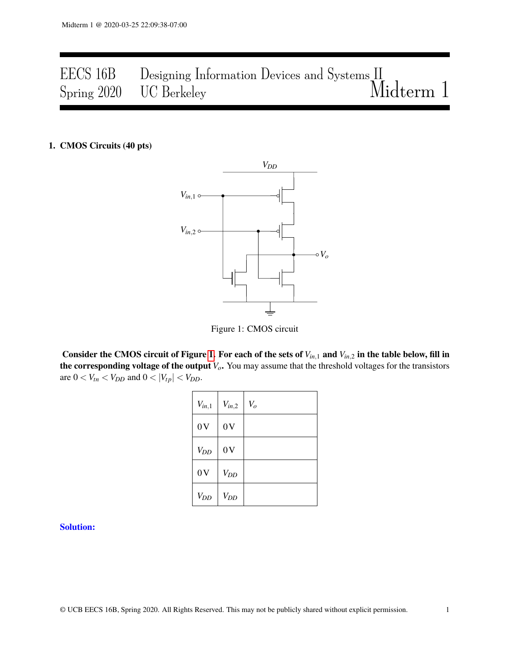# EECS 16B Designing Information Devices and Systems II Spring 2020 UC Berkeley Midterm 1

#### <span id="page-0-0"></span>1. CMOS Circuits (40 pts)



Figure 1: CMOS circuit

Consider the CMOS circuit of Figure [1.](#page-0-0) For each of the sets of  $V_{in,1}$  and  $V_{in,2}$  in the table below, fill in the corresponding voltage of the output *Vo*. You may assume that the threshold voltages for the transistors are  $0 < V_{tn} < V_{DD}$  and  $0 < |V_{tp}| < V_{DD}$ .

| $V_{in,1}$ | $V_{in,2}$ | $V_o$ |
|------------|------------|-------|
| 0V         | 0V         |       |
| $V_{DD}$   | 0V         |       |
| 0V         | $V_{DD}$   |       |
| $V_{DD}$   | $V_{DD}$   |       |

#### Solution: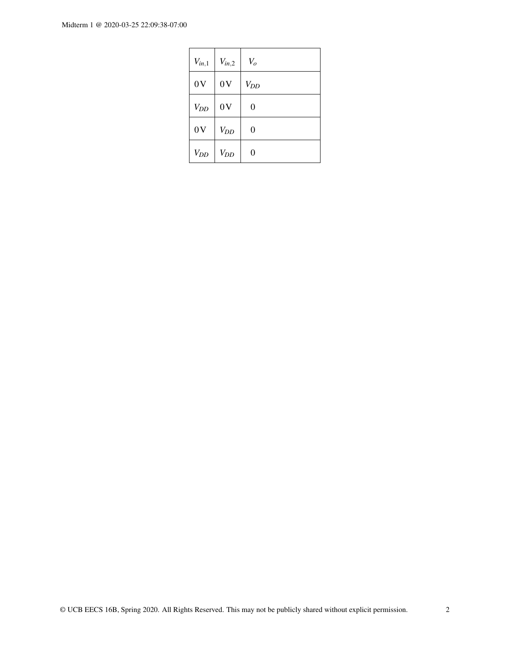| $V_{in,1}$ | $V_{in,2}$ | $V_o$    |
|------------|------------|----------|
| 0V         | 0V         | $V_{DD}$ |
| $V_{DD}$   | 0V         | 0        |
| 0V         | $V_{DD}$   | 0        |
| $V_{DD}$   | $V_{DD}$   | 0        |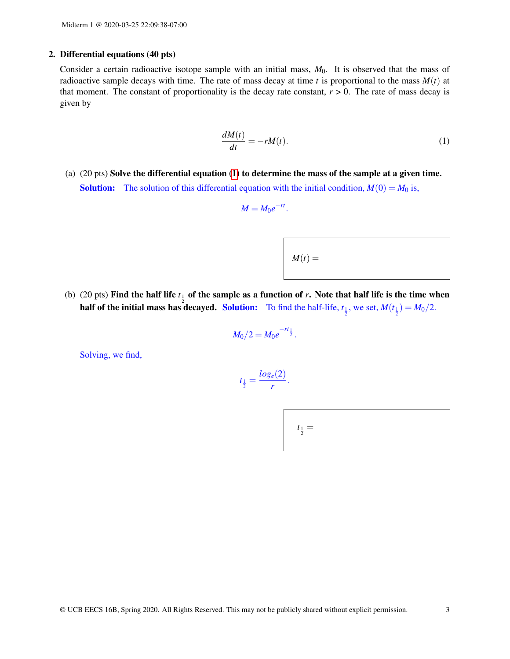#### 2. Differential equations (40 pts)

Consider a certain radioactive isotope sample with an initial mass,  $M_0$ . It is observed that the mass of radioactive sample decays with time. The rate of mass decay at time  $t$  is proportional to the mass  $M(t)$  at that moment. The constant of proportionality is the decay rate constant,  $r > 0$ . The rate of mass decay is given by

$$
\frac{dM(t)}{dt} = -rM(t). \tag{1}
$$

(a) (20 pts) Solve the differential equation [\(1\)](#page-2-0) to determine the mass of the sample at a given time. **Solution:** The solution of this differential equation with the initial condition,  $M(0) = M_0$  is,

$$
M=M_0e^{-rt}.
$$

<span id="page-2-0"></span>

(b) (20 pts) Find the half life  $t_{\frac{1}{2}}$  of the sample as a function of *r*. Note that half life is the time when half of the initial mass has decayed. Solution: To find the half-life,  $t_{\frac{1}{2}}$ , we set,  $M(t_{\frac{1}{2}}) = M_0/2$ .

$$
M_0/2=M_0e^{-rt_{\frac{1}{2}}}.
$$

Solving, we find,

$$
t_{\frac{1}{2}}=\frac{log_e(2)}{r}.
$$

| $t_{\frac{1}{2}} =$ |  |  |
|---------------------|--|--|
|                     |  |  |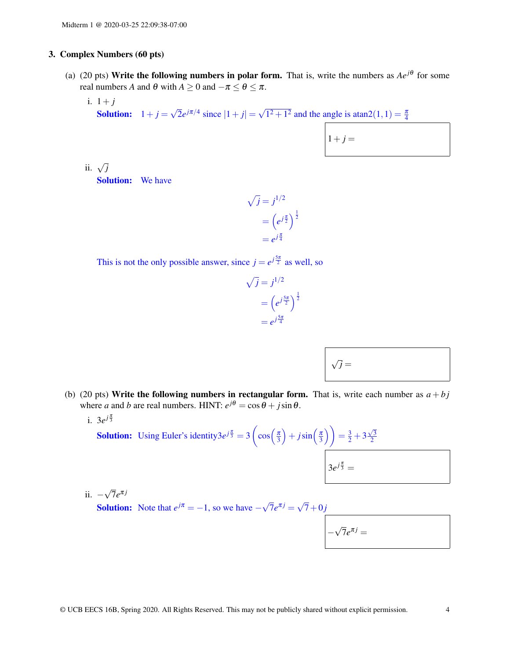#### 3. Complex Numbers (60 pts)

- (a) (20 pts) Write the following numbers in polar form. That is, write the numbers as  $Ae^{j\theta}$  for some real numbers *A* and  $\theta$  with  $A \ge 0$  and  $-\pi \le \theta \le \pi$ .
	- i.  $1 + i$ **Solution:**  $1+j=$ √  $\overline{2}e^{j\pi/4}$  since  $|1+j|=$ √  $\frac{\pi}{1^2 + 1^2}$  and the angle is atan2 $(1, 1) = \frac{\pi}{4}$

$$
1+j =
$$

ii. <sup>√</sup> *j* Solution: We have

> $\sqrt{j} = j^{1/2}$  $= (e^{j\frac{\pi}{2}})^{\frac{1}{2}}$ = *e j* π 4

This is not the only possible answer, since  $j = e^{j\frac{5\pi}{2}}$  as well, so

$$
\sqrt{j} = j^{1/2}
$$

$$
= \left(e^{j\frac{5\pi}{2}}\right)^{\frac{1}{2}}
$$

$$
= e^{j\frac{5\pi}{4}}
$$

| $\sqrt{j} =$ |
|--------------|
|--------------|

- (b) (20 pts) Write the following numbers in rectangular form. That is, write each number as  $a + bj$ where *a* and *b* are real numbers. HINT:  $e^{j\theta} = \cos \theta + j \sin \theta$ .
	- i.  $3e^{j\frac{\pi}{3}}$

**Solution:** Using Euler's identity3 $e^{j\frac{\pi}{3}} = 3\left(\cos\left(\frac{\pi}{3}\right) + j\sin\left(\frac{\pi}{3}\right)\right) = \frac{3}{2} + 3$  $\sqrt{3}$ 2  $3e^{j\frac{\pi}{3}} =$ 

ii. − √  $\overline{7}e^{\pi j}$ 

**Solution:** Note that  $e^{j\pi} = -1$ , so we have  $-\sqrt{ }$  $\overline{7}e^{\pi j} = \sqrt{ }$  $7+0j$ 

$$
-\sqrt{7}e^{\pi j}=
$$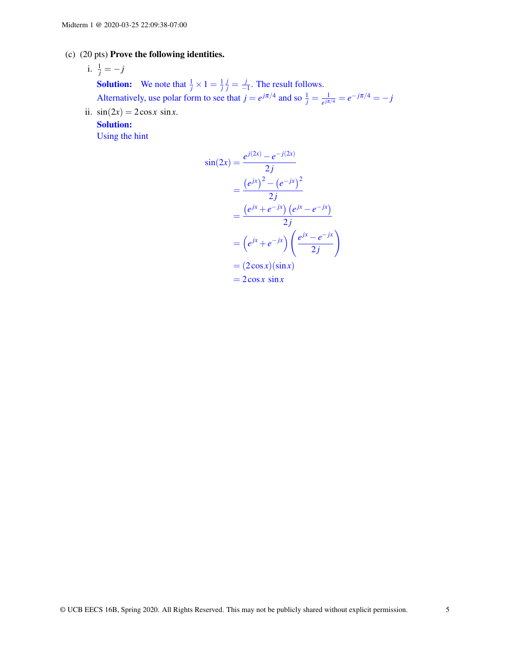#### (c) (20 pts) Prove the following identities.

# i.  $\frac{1}{j} = -j$

**Solution:** We note that  $\frac{1}{j} \times 1 = \frac{1}{j}$  $\frac{j}{j} = \frac{j}{j}$  $\frac{J}{-1}$ . The result follows. Alternatively, use polar form to see that  $j = e^{j\pi/4}$  and so  $\frac{1}{j} = \frac{1}{e^{j\pi}}$  $\frac{1}{e^{j\pi/4}} = e^{-j\pi/4} = -j$ 

ii.  $sin(2x) = 2cosx sinx$ .

Solution:

Using the hint

$$
\sin(2x) = \frac{e^{j(2x)} - e^{-j(2x)}}{2j} \n= \frac{(e^{jx})^2 - (e^{-jx})^2}{2j} \n= \frac{(e^{jx} + e^{-jx}) (e^{jx} - e^{-jx})}{2j} \n= (e^{jx} + e^{-jx}) \left( \frac{e^{jx} - e^{-jx}}{2j} \right) \n= (2\cos x)(\sin x) \n= 2\cos x \sin x
$$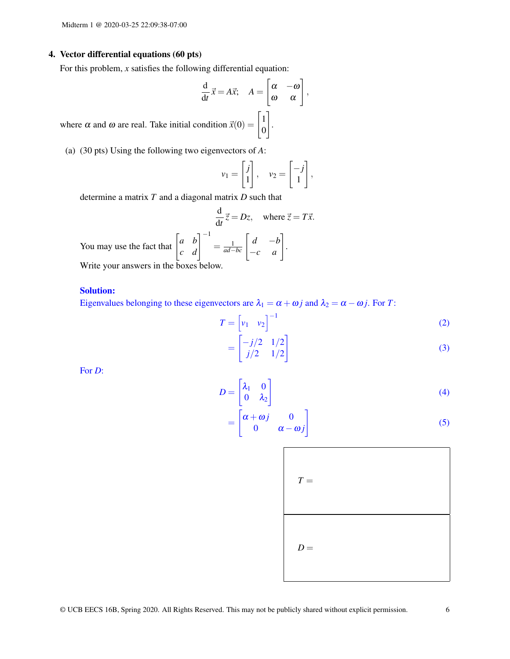#### 4. Vector differential equations (60 pts)

For this problem, *x* satisfies the following differential equation:

$$
\frac{d}{dt}\vec{x} = A\vec{x}; \quad A = \begin{bmatrix} \alpha & -\omega \\ \omega & \alpha \end{bmatrix},
$$

where  $\alpha$  and  $\omega$  are real. Take initial condition  $\vec{x}(0) = \begin{bmatrix} 1 \\ 0 \end{bmatrix}$ 0

(a) (30 pts) Using the following two eigenvectors of *A*:

$$
v_1 = \begin{bmatrix} j \\ 1 \end{bmatrix}, \quad v_2 = \begin{bmatrix} -j \\ 1 \end{bmatrix},
$$

.

determine a matrix *T* and a diagonal matrix *D* such that

$$
\frac{d}{dt}\vec{z} = Dz, \text{ where } \vec{z} = T\vec{x}.
$$
  
You may use the fact that  $\begin{bmatrix} a & b \\ c & d \end{bmatrix}^{-1} = \frac{1}{ad-bc} \begin{bmatrix} d & -b \\ -c & a \end{bmatrix}.$ 

Write your answers in the boxes below.

#### Solution:

Eigenvalues belonging to these eigenvectors are  $\lambda_1 = \alpha + \omega j$  and  $\lambda_2 = \alpha - \omega j$ . For *T*:

$$
T = \begin{bmatrix} v_1 & v_2 \end{bmatrix}^{-1}
$$
  
= 
$$
\begin{bmatrix} -j/2 & 1/2 \\ j/2 & 1/2 \end{bmatrix}
$$
 (2)

For *D*:

$$
D = \begin{bmatrix} \lambda_1 & 0 \\ 0 & \lambda_2 \end{bmatrix} \tag{4}
$$

$$
= \begin{bmatrix} \alpha + \omega j & 0 \\ 0 & \alpha - \omega j \end{bmatrix}
$$
 (5)

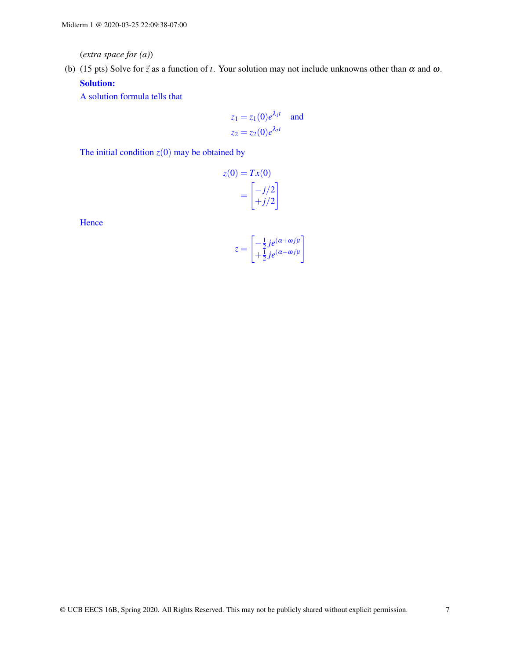(*extra space for (a)*)

(b) (15 pts) Solve for  $\vec{z}$  as a function of *t*. Your solution may not include unknowns other than  $\alpha$  and  $\omega$ . Solution:

A solution formula tells that

$$
z_1 = z_1(0)e^{\lambda_1 t} \quad \text{and}
$$

$$
z_2 = z_2(0)e^{\lambda_2 t}
$$

The initial condition  $z(0)$  may be obtained by

$$
z(0) = Tx(0)
$$

$$
= \begin{bmatrix} -j/2\\ +j/2 \end{bmatrix}
$$

**Hence** 

$$
z = \begin{bmatrix} -\frac{1}{2}je^{(\alpha + \omega_j)t} \\ +\frac{1}{2}je^{(\alpha - \omega_j)t} \end{bmatrix}
$$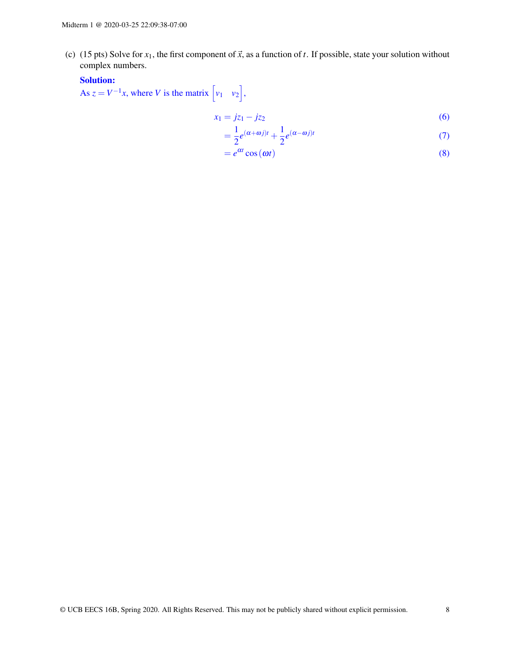(c) (15 pts) Solve for  $x_1$ , the first component of  $\vec{x}$ , as a function of *t*. If possible, state your solution without complex numbers.

# Solution:

As  $z = V^{-1}x$ , where *V* is the matrix  $\begin{bmatrix} v_1 & v_2 \end{bmatrix}$ ,

$$
x_1 = jz_1 - jz_2 \tag{6}
$$

$$
=\frac{1}{2}e^{(\alpha+\omega j)t}+\frac{1}{2}e^{(\alpha-\omega j)t}
$$
\n(7)

$$
=e^{\alpha t}\cos(\omega t) \tag{8}
$$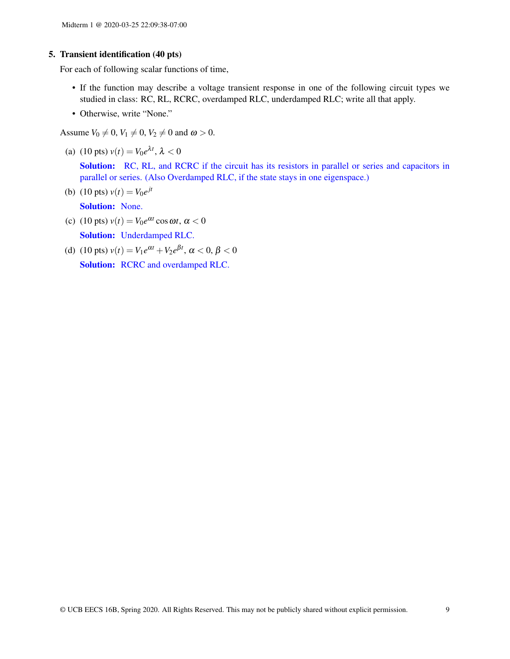#### 5. Transient identification (40 pts)

For each of following scalar functions of time,

- If the function may describe a voltage transient response in one of the following circuit types we studied in class: RC, RL, RCRC, overdamped RLC, underdamped RLC; write all that apply.
- Otherwise, write "None."

Assume  $V_0 \neq 0$ ,  $V_1 \neq 0$ ,  $V_2 \neq 0$  and  $\omega > 0$ .

(a) (10 pts)  $v(t) = V_0 e^{\lambda t}$ ,  $\lambda < 0$ 

Solution: RC, RL, and RCRC if the circuit has its resistors in parallel or series and capacitors in parallel or series. (Also Overdamped RLC, if the state stays in one eigenspace.)

- (b) (10 pts)  $v(t) = V_0 e^{jt}$ Solution: None.
- (c) (10 pts)  $v(t) = V_0 e^{\alpha t} \cos \omega t$ ,  $\alpha < 0$ Solution: Underdamped RLC.
- (d) (10 pts)  $v(t) = V_1 e^{\alpha t} + V_2 e^{\beta t}$ ,  $\alpha < 0$ ,  $\beta < 0$ Solution: RCRC and overdamped RLC.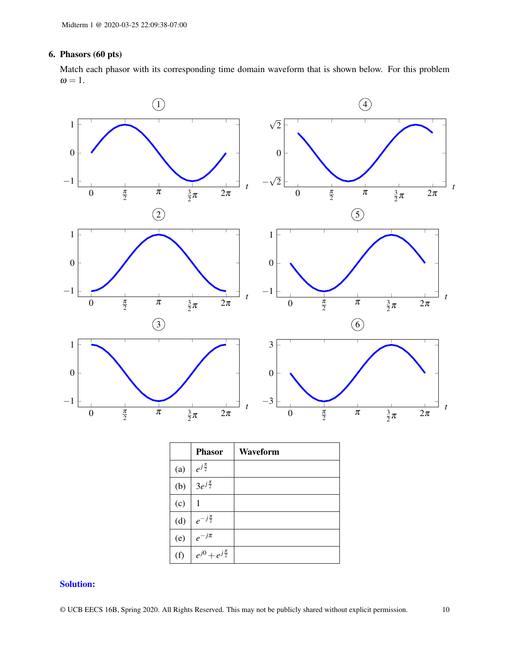## 6. Phasors (60 pts)

Match each phasor with its corresponding time domain waveform that is shown below. For this problem  $\omega = 1$ .



### Solution: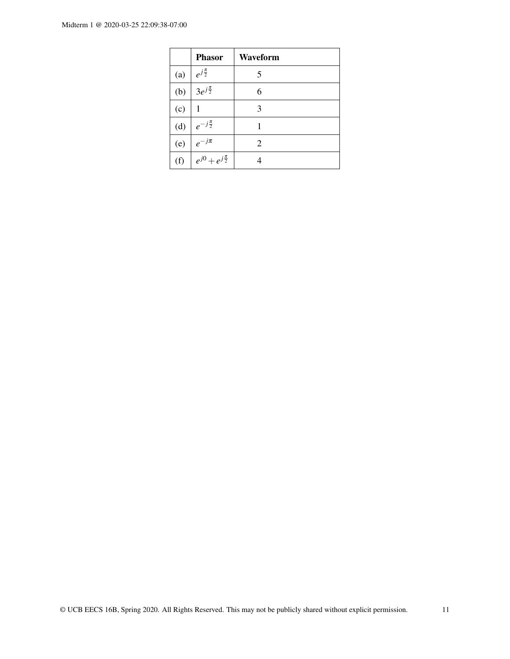|     | <b>Phasor</b>               | Waveform       |
|-----|-----------------------------|----------------|
| (a) | $e^{j\frac{\pi}{2}}$        | 5              |
| (b) | $3e^{j\frac{\pi}{2}}$       | 6              |
| (c) | 1                           | 3              |
| (d) | $e^{-j\frac{\pi}{2}}$       | 1              |
| (e) | $e^{-j\pi}$                 | $\overline{c}$ |
| (f) | $e^{j0}+e^{j\frac{\pi}{2}}$ |                |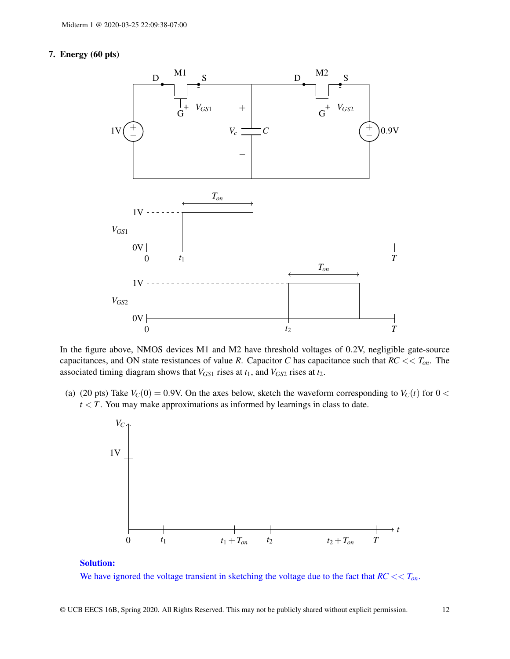### 7. Energy (60 pts)



In the figure above, NMOS devices M1 and M2 have threshold voltages of 0.2V, negligible gate-source capacitances, and ON state resistances of value *R*. Capacitor *C* has capacitance such that *RC* << *Ton*. The associated timing diagram shows that  $V_{GS1}$  rises at  $t_1$ , and  $V_{GS2}$  rises at  $t_2$ .

(a) (20 pts) Take  $V_C(0) = 0.9V$ . On the axes below, sketch the waveform corresponding to  $V_C(t)$  for  $0 <$  $t < T$ . You may make approximations as informed by learnings in class to date.



#### Solution:

We have ignored the voltage transient in sketching the voltage due to the fact that *RC* << *Ton*.

© UCB EECS 16B, Spring 2020. All Rights Reserved. This may not be publicly shared without explicit permission. 12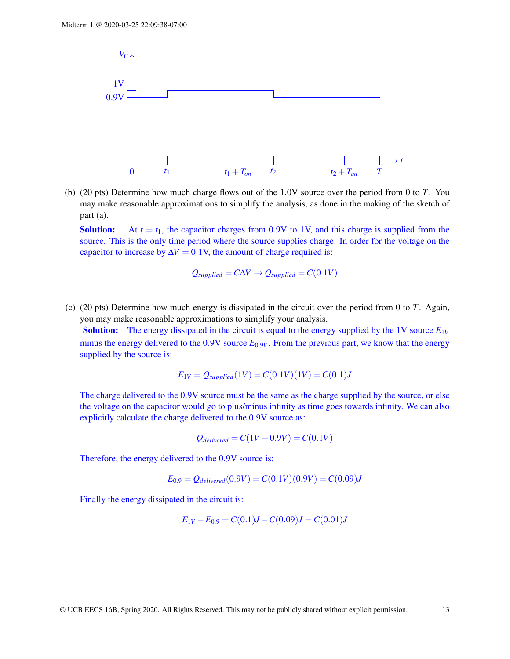

(b) (20 pts) Determine how much charge flows out of the 1.0V source over the period from 0 to *T*. You may make reasonable approximations to simplify the analysis, as done in the making of the sketch of part (a).

**Solution:** At  $t = t_1$ , the capacitor charges from 0.9V to 1V, and this charge is supplied from the source. This is the only time period where the source supplies charge. In order for the voltage on the capacitor to increase by  $\Delta V = 0.1$ V, the amount of charge required is:

$$
Q_{supplied} = C\Delta V \rightarrow Q_{supplied} = C(0.1V)
$$

(c) (20 pts) Determine how much energy is dissipated in the circuit over the period from 0 to *T*. Again, you may make reasonable approximations to simplify your analysis.

**Solution:** The energy dissipated in the circuit is equal to the energy supplied by the 1V source  $E_{1V}$ minus the energy delivered to the  $0.9V$  source  $E_{0.9V}$ . From the previous part, we know that the energy supplied by the source is:

$$
E_{1V} = Q_{supplied}(1V) = C(0.1V)(1V) = C(0.1)J
$$

The charge delivered to the 0.9V source must be the same as the charge supplied by the source, or else the voltage on the capacitor would go to plus/minus infinity as time goes towards infinity. We can also explicitly calculate the charge delivered to the 0.9V source as:

 $Q_{delivered} = C(1V - 0.9V) = C(0.1V)$ 

Therefore, the energy delivered to the 0.9V source is:

$$
E_{0.9} = Q_{delivered}(0.9V) = C(0.1V)(0.9V) = C(0.09)J
$$

Finally the energy dissipated in the circuit is:

$$
E_{1V} - E_{0.9} = C(0.1)J - C(0.09)J = C(0.01)J
$$